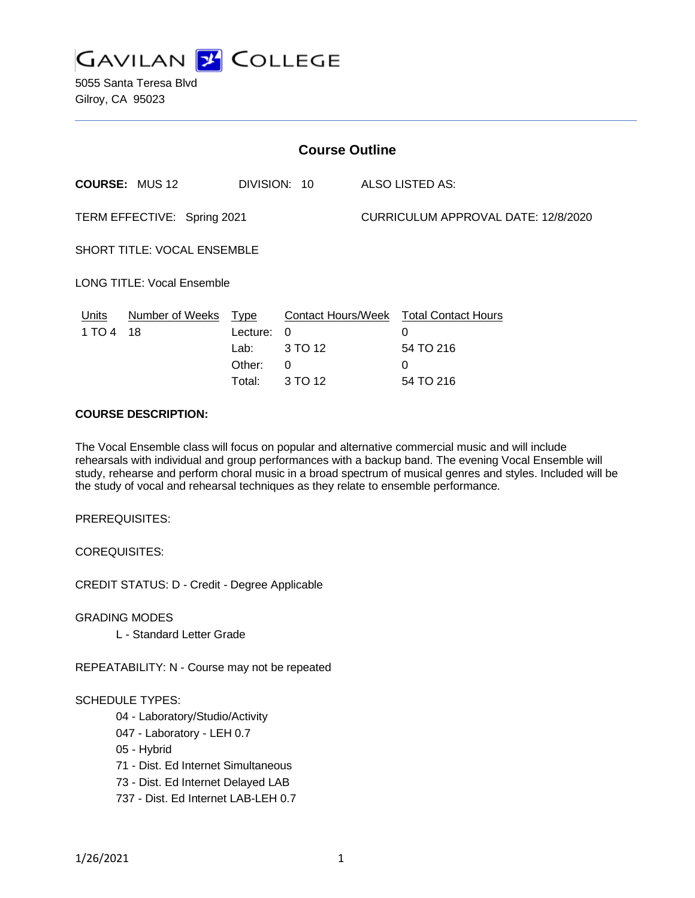

5055 Santa Teresa Blvd Gilroy, CA 95023

| <b>Course Outline</b>              |                              |                                           |                                                       |                                     |                                                   |
|------------------------------------|------------------------------|-------------------------------------------|-------------------------------------------------------|-------------------------------------|---------------------------------------------------|
|                                    | <b>COURSE: MUS 12</b>        | DIVISION: 10                              |                                                       |                                     | <b>ALSO LISTED AS:</b>                            |
| TERM EFFECTIVE: Spring 2021        |                              |                                           |                                                       | CURRICULUM APPROVAL DATE: 12/8/2020 |                                                   |
| <b>SHORT TITLE: VOCAL ENSEMBLE</b> |                              |                                           |                                                       |                                     |                                                   |
| <b>LONG TITLE: Vocal Ensemble</b>  |                              |                                           |                                                       |                                     |                                                   |
| <b>Units</b><br>1 TO 4             | <b>Number of Weeks</b><br>18 | <u>Type</u><br>Lecture:<br>Lab:<br>Other: | <b>Contact Hours/Week</b><br>$\Omega$<br>3 TO 12<br>0 |                                     | <b>Total Contact Hours</b><br>0<br>54 TO 216<br>0 |
|                                    |                              | Total:                                    | 3 TO 12                                               |                                     | 54 TO 216                                         |

#### **COURSE DESCRIPTION:**

The Vocal Ensemble class will focus on popular and alternative commercial music and will include rehearsals with individual and group performances with a backup band. The evening Vocal Ensemble will study, rehearse and perform choral music in a broad spectrum of musical genres and styles. Included will be the study of vocal and rehearsal techniques as they relate to ensemble performance.

PREREQUISITES:

COREQUISITES:

CREDIT STATUS: D - Credit - Degree Applicable

GRADING MODES

L - Standard Letter Grade

REPEATABILITY: N - Course may not be repeated

#### SCHEDULE TYPES:

- 04 Laboratory/Studio/Activity
- 047 Laboratory LEH 0.7
- 05 Hybrid
- 71 Dist. Ed Internet Simultaneous
- 73 Dist. Ed Internet Delayed LAB
- 737 Dist. Ed Internet LAB-LEH 0.7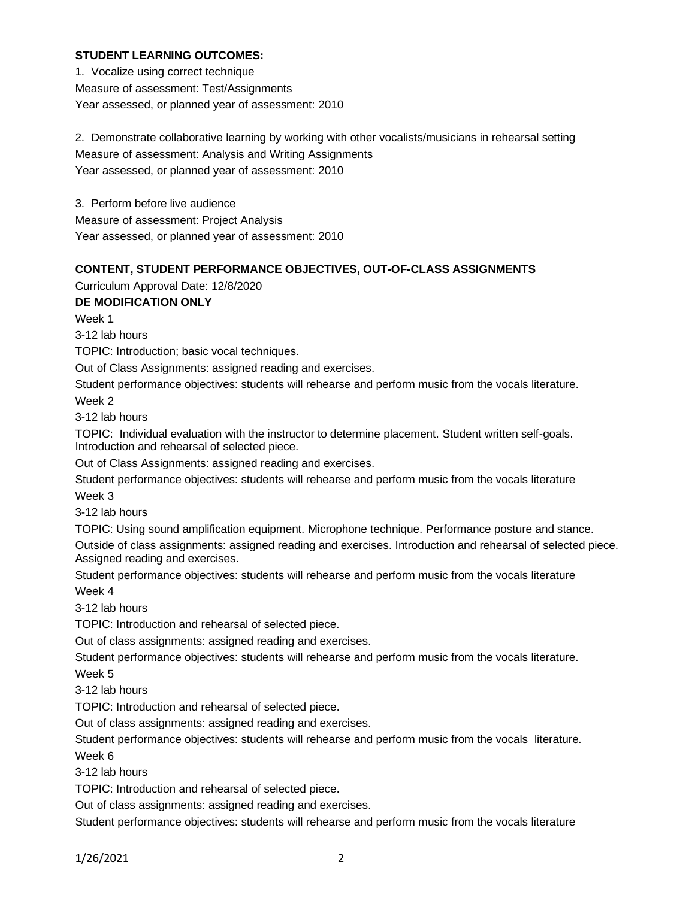## **STUDENT LEARNING OUTCOMES:**

1. Vocalize using correct technique Measure of assessment: Test/Assignments Year assessed, or planned year of assessment: 2010

2. Demonstrate collaborative learning by working with other vocalists/musicians in rehearsal setting Measure of assessment: Analysis and Writing Assignments Year assessed, or planned year of assessment: 2010

3. Perform before live audience Measure of assessment: Project Analysis Year assessed, or planned year of assessment: 2010

# **CONTENT, STUDENT PERFORMANCE OBJECTIVES, OUT-OF-CLASS ASSIGNMENTS**

Curriculum Approval Date: 12/8/2020

# **DE MODIFICATION ONLY**

Week 1

3-12 lab hours

TOPIC: Introduction; basic vocal techniques.

Out of Class Assignments: assigned reading and exercises.

Student performance objectives: students will rehearse and perform music from the vocals literature.

Week 2

3-12 lab hours

TOPIC: Individual evaluation with the instructor to determine placement. Student written self-goals. Introduction and rehearsal of selected piece.

Out of Class Assignments: assigned reading and exercises.

Student performance objectives: students will rehearse and perform music from the vocals literature Week 3

3-12 lab hours

TOPIC: Using sound amplification equipment. Microphone technique. Performance posture and stance.

Outside of class assignments: assigned reading and exercises. Introduction and rehearsal of selected piece. Assigned reading and exercises.

Student performance objectives: students will rehearse and perform music from the vocals literature Week 4

3-12 lab hours

TOPIC: Introduction and rehearsal of selected piece.

Out of class assignments: assigned reading and exercises.

Student performance objectives: students will rehearse and perform music from the vocals literature.

Week 5

3-12 lab hours

TOPIC: Introduction and rehearsal of selected piece.

Out of class assignments: assigned reading and exercises.

Student performance objectives: students will rehearse and perform music from the vocals literature.

Week 6

3-12 lab hours

TOPIC: Introduction and rehearsal of selected piece.

Out of class assignments: assigned reading and exercises.

Student performance objectives: students will rehearse and perform music from the vocals literature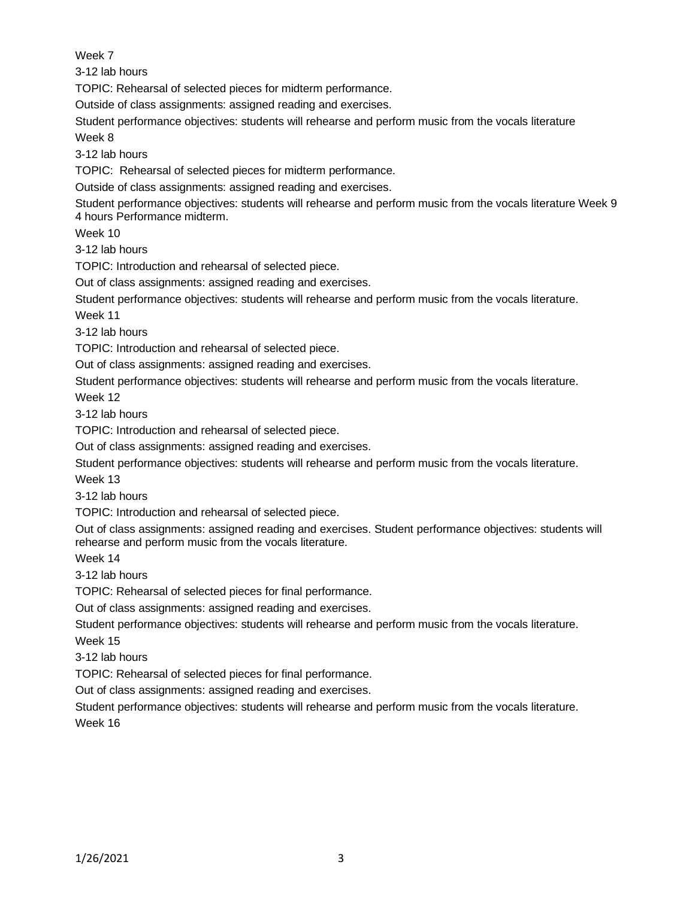Week 7

3-12 lab hours

TOPIC: Rehearsal of selected pieces for midterm performance.

Outside of class assignments: assigned reading and exercises.

Student performance objectives: students will rehearse and perform music from the vocals literature Week 8

3-12 lab hours

TOPIC: Rehearsal of selected pieces for midterm performance.

Outside of class assignments: assigned reading and exercises.

Student performance objectives: students will rehearse and perform music from the vocals literature Week 9 4 hours Performance midterm.

Week 10

3-12 lab hours

TOPIC: Introduction and rehearsal of selected piece.

Out of class assignments: assigned reading and exercises.

Student performance objectives: students will rehearse and perform music from the vocals literature.

Week 11

3-12 lab hours

TOPIC: Introduction and rehearsal of selected piece.

Out of class assignments: assigned reading and exercises.

Student performance objectives: students will rehearse and perform music from the vocals literature. Week 12

3-12 lab hours

TOPIC: Introduction and rehearsal of selected piece.

Out of class assignments: assigned reading and exercises.

Student performance objectives: students will rehearse and perform music from the vocals literature.

Week 13

3-12 lab hours

TOPIC: Introduction and rehearsal of selected piece.

Out of class assignments: assigned reading and exercises. Student performance objectives: students will rehearse and perform music from the vocals literature.

Week 14

3-12 lab hours

TOPIC: Rehearsal of selected pieces for final performance.

Out of class assignments: assigned reading and exercises.

Student performance objectives: students will rehearse and perform music from the vocals literature. Week 15

3-12 lab hours

TOPIC: Rehearsal of selected pieces for final performance.

Out of class assignments: assigned reading and exercises.

Student performance objectives: students will rehearse and perform music from the vocals literature. Week 16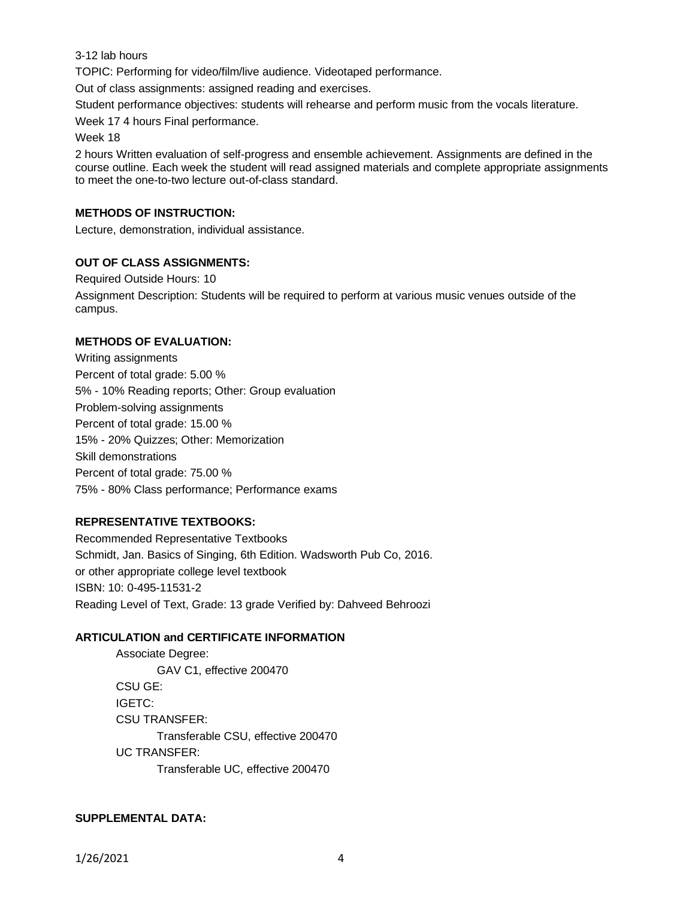3-12 lab hours

TOPIC: Performing for video/film/live audience. Videotaped performance.

Out of class assignments: assigned reading and exercises.

Student performance objectives: students will rehearse and perform music from the vocals literature.

Week 17 4 hours Final performance.

Week 18

2 hours Written evaluation of self-progress and ensemble achievement. Assignments are defined in the course outline. Each week the student will read assigned materials and complete appropriate assignments to meet the one-to-two lecture out-of-class standard.

## **METHODS OF INSTRUCTION:**

Lecture, demonstration, individual assistance.

## **OUT OF CLASS ASSIGNMENTS:**

Required Outside Hours: 10

Assignment Description: Students will be required to perform at various music venues outside of the campus.

#### **METHODS OF EVALUATION:**

Writing assignments Percent of total grade: 5.00 % 5% - 10% Reading reports; Other: Group evaluation Problem-solving assignments Percent of total grade: 15.00 % 15% - 20% Quizzes; Other: Memorization Skill demonstrations Percent of total grade: 75.00 % 75% - 80% Class performance; Performance exams

## **REPRESENTATIVE TEXTBOOKS:**

Recommended Representative Textbooks Schmidt, Jan. Basics of Singing, 6th Edition. Wadsworth Pub Co, 2016. or other appropriate college level textbook ISBN: 10: 0-495-11531-2 Reading Level of Text, Grade: 13 grade Verified by: Dahveed Behroozi

## **ARTICULATION and CERTIFICATE INFORMATION**

Associate Degree: GAV C1, effective 200470 CSU GE: IGETC: CSU TRANSFER: Transferable CSU, effective 200470 UC TRANSFER: Transferable UC, effective 200470

### **SUPPLEMENTAL DATA:**